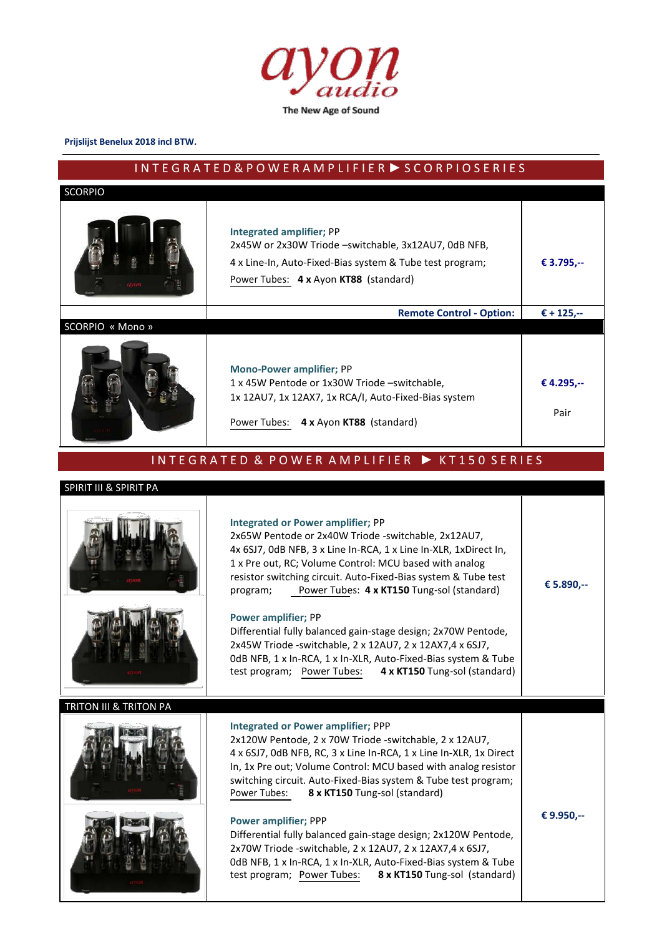

#### **Prijslijst Benelux 2018 incl BTW.**

# I N T E G R A T E D & P O W E R A M P L I F I E R ► S C O R P I O S E R I E S

| <b>SCORPIO</b>         |                                                                                                                                                                                                                                                                                                                                                                                                                                                                                                                                                                                                                                                    |                    |
|------------------------|----------------------------------------------------------------------------------------------------------------------------------------------------------------------------------------------------------------------------------------------------------------------------------------------------------------------------------------------------------------------------------------------------------------------------------------------------------------------------------------------------------------------------------------------------------------------------------------------------------------------------------------------------|--------------------|
|                        | <b>Integrated amplifier; PP</b><br>2x45W or 2x30W Triode -switchable, 3x12AU7, 0dB NFB,<br>4 x Line-In, Auto-Fixed-Bias system & Tube test program;<br>Power Tubes: 4 x Ayon KT88 (standard)                                                                                                                                                                                                                                                                                                                                                                                                                                                       | € 3.795,--         |
|                        | <b>Remote Control - Option:</b>                                                                                                                                                                                                                                                                                                                                                                                                                                                                                                                                                                                                                    | € + 125,--         |
| SCORPIO « Mono »       | <b>Mono-Power amplifier; PP</b><br>1 x 45W Pentode or 1x30W Triode -switchable,<br>1x 12AU7, 1x 12AX7, 1x RCA/I, Auto-Fixed-Bias system<br>4 x Ayon KT88 (standard)<br>Power Tubes:                                                                                                                                                                                                                                                                                                                                                                                                                                                                | € 4.295,--<br>Pair |
|                        | INTEGRATED & POWER AMPLIFIER ▶ KT150 SERIES                                                                                                                                                                                                                                                                                                                                                                                                                                                                                                                                                                                                        |                    |
| SPIRIT III & SPIRIT PA |                                                                                                                                                                                                                                                                                                                                                                                                                                                                                                                                                                                                                                                    |                    |
|                        | <b>Integrated or Power amplifier; PP</b><br>2x65W Pentode or 2x40W Triode -switchable, 2x12AU7,<br>4x 6SJ7, OdB NFB, 3 x Line In-RCA, 1 x Line In-XLR, 1xDirect In,<br>1 x Pre out, RC; Volume Control: MCU based with analog<br>resistor switching circuit. Auto-Fixed-Bias system & Tube test<br>Power Tubes: 4 x KT150 Tung-sol (standard)<br>program;<br><b>Power amplifier; PP</b><br>Differential fully balanced gain-stage design; 2x70W Pentode,<br>2x45W Triode -switchable, 2 x 12AU7, 2 x 12AX7,4 x 6SJ7,<br>OdB NFB, 1 x In-RCA, 1 x In-XLR, Auto-Fixed-Bias system & Tube<br>test program; Power Tubes: 4 x KT150 Tung-sol (standard) | € 5.890,--         |
|                        |                                                                                                                                                                                                                                                                                                                                                                                                                                                                                                                                                                                                                                                    |                    |
| TRITON III & TRITON PA | <b>Integrated or Power amplifier; PPP</b><br>2x120W Pentode, 2 x 70W Triode -switchable, 2 x 12AU7,<br>4 x 6SJ7, OdB NFB, RC, 3 x Line In-RCA, 1 x Line In-XLR, 1x Direct<br>In, 1x Pre out; Volume Control: MCU based with analog resistor<br>switching circuit. Auto-Fixed-Bias system & Tube test program;<br>Power Tubes:<br>8 x KT150 Tung-sol (standard)                                                                                                                                                                                                                                                                                     |                    |
|                        | <b>Power amplifier; PPP</b><br>Differential fully balanced gain-stage design; 2x120W Pentode,<br>2x70W Triode -switchable, 2 x 12AU7, 2 x 12AX7,4 x 6SJ7,<br>OdB NFB, 1 x In-RCA, 1 x In-XLR, Auto-Fixed-Bias system & Tube<br>8 x KT150 Tung-sol (standard)<br>test program; Power Tubes:                                                                                                                                                                                                                                                                                                                                                         | € 9.950,--         |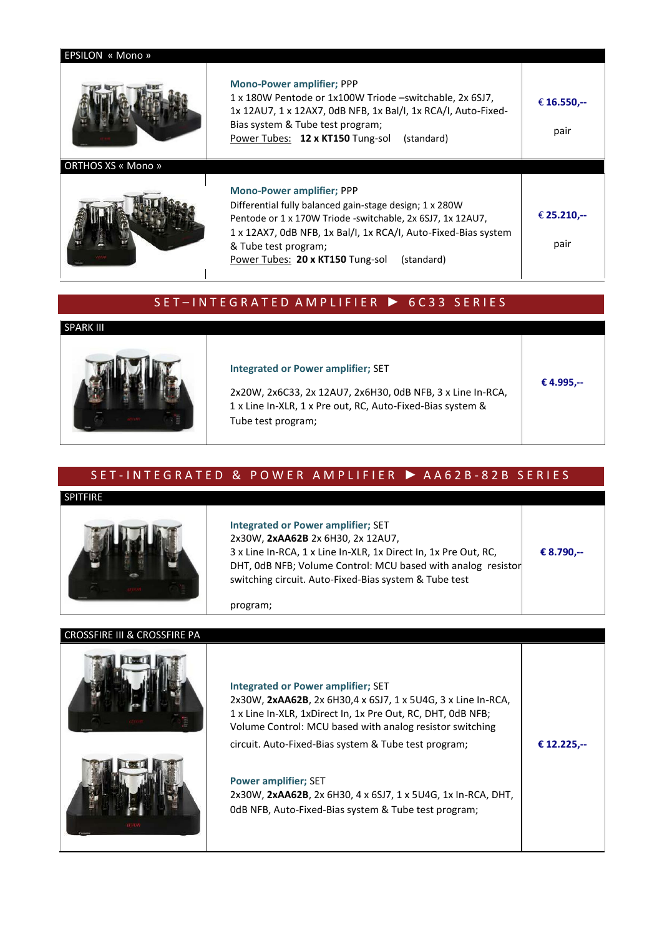| EPSILON « Mono »          |                                                                                                                                                                                                                                                                                                       |                     |
|---------------------------|-------------------------------------------------------------------------------------------------------------------------------------------------------------------------------------------------------------------------------------------------------------------------------------------------------|---------------------|
|                           | <b>Mono-Power amplifier; PPP</b><br>1 x 180W Pentode or 1x100W Triode -switchable, 2x 6SJ7,<br>1x 12AU7, 1 x 12AX7, 0dB NFB, 1x Bal/I, 1x RCA/I, Auto-Fixed-<br>Bias system & Tube test program;<br>Power Tubes: 12 x KT150 Tung-sol<br>(standard)                                                    | € 16.550,--<br>pair |
| <b>ORTHOS XS « Mono »</b> |                                                                                                                                                                                                                                                                                                       |                     |
|                           | <b>Mono-Power amplifier; PPP</b><br>Differential fully balanced gain-stage design; 1 x 280W<br>Pentode or 1 x 170W Triode -switchable, 2x 6SJ7, 1x 12AU7,<br>1 x 12AX7, OdB NFB, 1x Bal/I, 1x RCA/I, Auto-Fixed-Bias system<br>& Tube test program;<br>Power Tubes: 20 x KT150 Tung-sol<br>(standard) | € 25.210,--<br>pair |

## S E T – IN T E G R A T E D A M P L I F I E R ▶ 6 C 3 3 S E R I E S

#### SPARK III



#### **Integrated or Power amplifier;** SET

2x20W, 2x6C33, 2x 12AU7, 2x6H30, 0dB NFB, 3 x Line In-RCA, 1 x Line In-XLR, 1 x Pre out, RC, Auto-Fixed-Bias system & Tube test program;

## SET-INTEGRATED & POWER AMPLIFIER ▶ AA62B-82B SERIES

#### **SPITFIRE**



**Integrated or Power amplifier;** SET 2x30W, **2xAA62B** 2x 6H30, 2x 12AU7, 3 x Line In-RCA, 1 x Line In-XLR, 1x Direct In, 1x Pre Out, RC, **€ 8.790,--** DHT, 0dB NFB; Volume Control: MCU based with analog resistor switching circuit. Auto-Fixed-Bias system & Tube test

**€ 4.995,--**

program;

| <b>CROSSFIRE III &amp; CROSSFIRE PA</b> |                                                                                                                                                                                                                                                                                              |             |
|-----------------------------------------|----------------------------------------------------------------------------------------------------------------------------------------------------------------------------------------------------------------------------------------------------------------------------------------------|-------------|
|                                         | <b>Integrated or Power amplifier; SET</b><br>2x30W, 2xAA62B, 2x 6H30,4 x 6SJ7, 1 x 5U4G, 3 x Line In-RCA,<br>1 x Line In-XLR, 1xDirect In, 1x Pre Out, RC, DHT, 0dB NFB;<br>Volume Control: MCU based with analog resistor switching<br>circuit. Auto-Fixed-Bias system & Tube test program; | € 12.225.-- |
|                                         | <b>Power amplifier; SET</b><br>2x30W, 2xAA62B, 2x 6H30, 4x 6SJ7, 1x 5U4G, 1x In-RCA, DHT,<br>OdB NFB, Auto-Fixed-Bias system & Tube test program;                                                                                                                                            |             |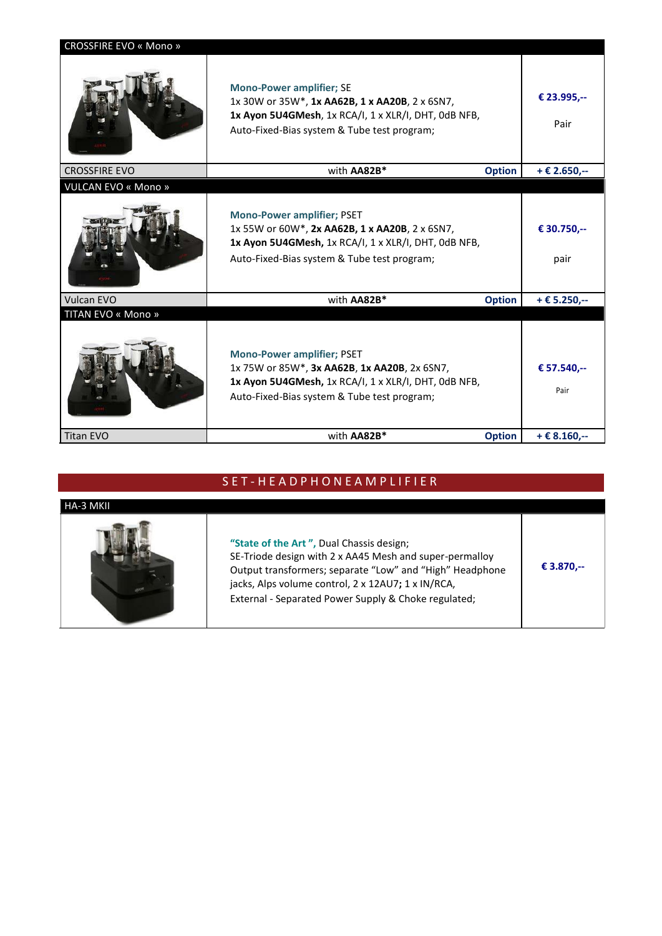| <b>CROSSFIRE EVO « Mono »</b> |                                                                                                                                                                                            |               |                      |
|-------------------------------|--------------------------------------------------------------------------------------------------------------------------------------------------------------------------------------------|---------------|----------------------|
|                               | <b>Mono-Power amplifier; SE</b><br>1x 30W or 35W*, 1x AA62B, 1 x AA20B, 2 x 6SN7,<br>1x Ayon 5U4GMesh, 1x RCA/I, 1 x XLR/I, DHT, 0dB NFB,<br>Auto-Fixed-Bias system & Tube test program;   |               | € 23.995,--<br>Pair  |
| <b>CROSSFIRE EVO</b>          | with AA82B*                                                                                                                                                                                | <b>Option</b> | + € 2.650,--         |
| <b>VULCAN EVO « Mono »</b>    |                                                                                                                                                                                            |               |                      |
|                               | <b>Mono-Power amplifier; PSET</b><br>1x 55W or 60W*, 2x AA62B, 1 x AA20B, 2 x 6SN7,<br>1x Ayon 5U4GMesh, 1x RCA/I, 1 x XLR/I, DHT, 0dB NFB,<br>Auto-Fixed-Bias system & Tube test program; |               | € 30.750,--<br>pair  |
| <b>Vulcan EVO</b>             | with AA82B*                                                                                                                                                                                | <b>Option</b> | $+E$ 5.250,--        |
| TITAN EVO « Mono »            |                                                                                                                                                                                            |               |                      |
|                               | <b>Mono-Power amplifier; PSET</b><br>1x 75W or 85W*, 3x AA62B, 1x AA20B, 2x 6SN7,<br>1x Ayon 5U4GMesh, 1x RCA/I, 1 x XLR/I, DHT, 0dB NFB,<br>Auto-Fixed-Bias system & Tube test program;   |               | € 57.540,--<br>Pair  |
| <b>Titan EVO</b>              | with AA82B*                                                                                                                                                                                | <b>Option</b> | $+ \epsilon 8.160,-$ |

# S E T - H E A D P H O N E A M P L I F I E R

| HA-3 MKII |                                                                                                                                                                                                                                                                               |            |
|-----------|-------------------------------------------------------------------------------------------------------------------------------------------------------------------------------------------------------------------------------------------------------------------------------|------------|
|           | "State of the Art", Dual Chassis design;<br>SE-Triode design with 2 x AA45 Mesh and super-permalloy<br>Output transformers; separate "Low" and "High" Headphone<br>jacks, Alps volume control, 2 x 12AU7; 1 x IN/RCA,<br>External - Separated Power Supply & Choke regulated; | € 3.870,-- |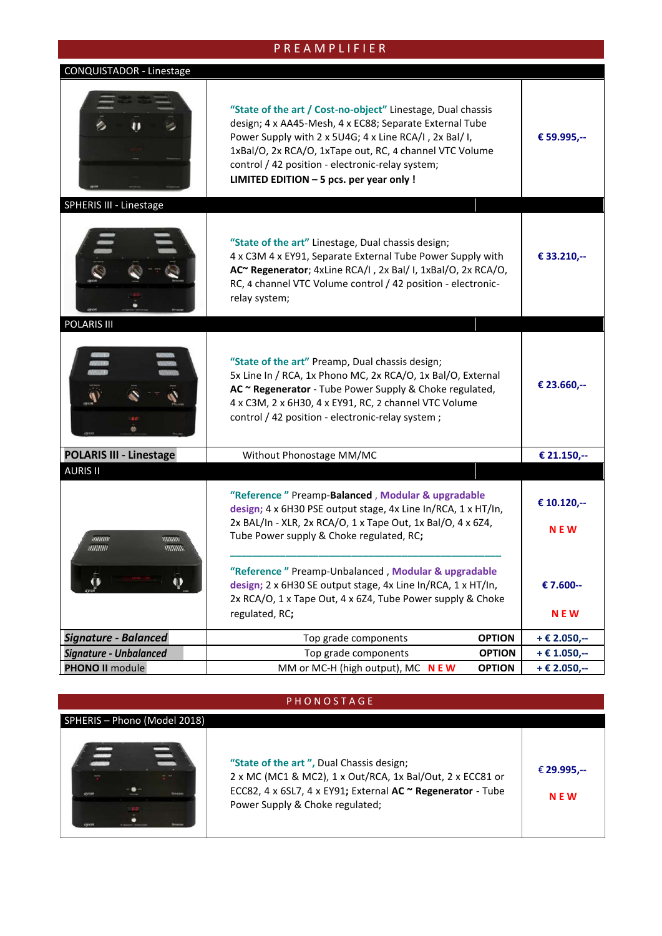## P R E A M P L I F I E R

### CONQUISTADOR - Linestage



#### **PHONOSTAGE**

#### SPHERIS – Phono (Model 2018)



**"State of the art ",** Dual Chassis design; 2 x MC (MC1 & MC2), 1 x Out/RCA, 1x Bal/Out, 2 x ECC81 or ECC82, 4 x 6SL7, 4 x EY91**;** External **AC ~ Regenerator** - Tube Power Supply & Choke regulated; € **29.995,-- N E W**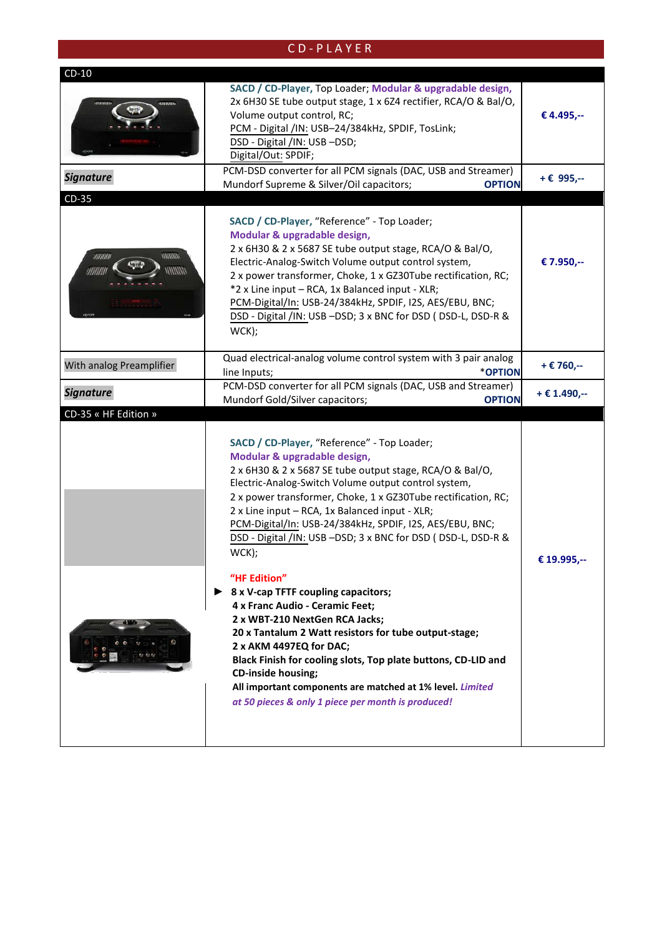# C D - P L A Y E R

| $CD-10$                  |                                                                                                                                                                                                                                                                                                                                                                                                                                                                                                                                                                                                                                                                                                                                                                                                                                                                                                            |               |
|--------------------------|------------------------------------------------------------------------------------------------------------------------------------------------------------------------------------------------------------------------------------------------------------------------------------------------------------------------------------------------------------------------------------------------------------------------------------------------------------------------------------------------------------------------------------------------------------------------------------------------------------------------------------------------------------------------------------------------------------------------------------------------------------------------------------------------------------------------------------------------------------------------------------------------------------|---------------|
|                          | SACD / CD-Player, Top Loader; Modular & upgradable design,<br>2x 6H30 SE tube output stage, 1 x 6Z4 rectifier, RCA/O & Bal/O,<br>Volume output control, RC;<br>PCM - Digital /IN: USB-24/384kHz, SPDIF, TosLink;<br>DSD - Digital /IN: USB -DSD;<br>Digital/Out: SPDIF;                                                                                                                                                                                                                                                                                                                                                                                                                                                                                                                                                                                                                                    | € 4.495,--    |
| <b>Signature</b>         | PCM-DSD converter for all PCM signals (DAC, USB and Streamer)<br>Mundorf Supreme & Silver/Oil capacitors;<br><b>OPTION</b>                                                                                                                                                                                                                                                                                                                                                                                                                                                                                                                                                                                                                                                                                                                                                                                 | $+ E$ 995,--  |
| $CD-35$                  |                                                                                                                                                                                                                                                                                                                                                                                                                                                                                                                                                                                                                                                                                                                                                                                                                                                                                                            |               |
| mmm<br>unnun             | SACD / CD-Player, "Reference" - Top Loader;<br>Modular & upgradable design,<br>2 x 6H30 & 2 x 5687 SE tube output stage, RCA/O & Bal/O,<br>Electric-Analog-Switch Volume output control system,<br>2 x power transformer, Choke, 1 x GZ30Tube rectification, RC;<br>*2 x Line input - RCA, 1x Balanced input - XLR;<br>PCM-Digital/In: USB-24/384kHz, SPDIF, I2S, AES/EBU, BNC;<br>DSD - Digital /IN: USB -DSD; 3 x BNC for DSD ( DSD-L, DSD-R &<br>WCK);                                                                                                                                                                                                                                                                                                                                                                                                                                                  | € 7.950,--    |
| With analog Preamplifier | Quad electrical-analog volume control system with 3 pair analog<br>*OPTION<br>line Inputs;                                                                                                                                                                                                                                                                                                                                                                                                                                                                                                                                                                                                                                                                                                                                                                                                                 | + € 760,--    |
| <b>Signature</b>         | PCM-DSD converter for all PCM signals (DAC, USB and Streamer)<br>Mundorf Gold/Silver capacitors;<br><b>OPTION</b>                                                                                                                                                                                                                                                                                                                                                                                                                                                                                                                                                                                                                                                                                                                                                                                          | $+E$ 1.490,-- |
| CD-35 « HF Edition »     | SACD / CD-Player, "Reference" - Top Loader;<br>Modular & upgradable design,<br>2 x 6H30 & 2 x 5687 SE tube output stage, RCA/O & Bal/O,<br>Electric-Analog-Switch Volume output control system,<br>2 x power transformer, Choke, 1 x GZ30Tube rectification, RC;<br>2 x Line input - RCA, 1x Balanced input - XLR;<br>PCM-Digital/In: USB-24/384kHz, SPDIF, I2S, AES/EBU, BNC;<br>DSD - Digital /IN: USB -DSD; 3 x BNC for DSD ( DSD-L, DSD-R &<br>WCK);<br>"HF Edition"<br>$\triangleright$ 8 x V-cap TFTF coupling capacitors;<br>4 x Franc Audio - Ceramic Feet;<br>2 x WBT-210 NextGen RCA Jacks;<br>20 x Tantalum 2 Watt resistors for tube output-stage;<br>2 x AKM 4497EQ for DAC;<br>Black Finish for cooling slots, Top plate buttons, CD-LID and<br><b>CD-inside housing;</b><br>All important components are matched at 1% level. Limited<br>at 50 pieces & only 1 piece per month is produced! | € 19.995,--   |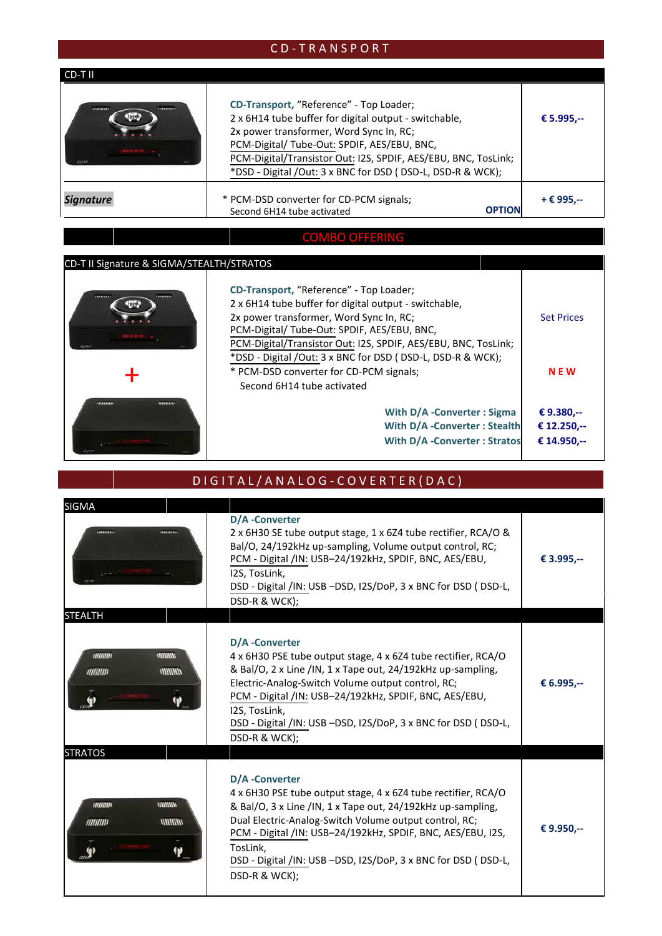# C D - T R A N S P O R T

| CD-TII    |                                                                                                                                                                                                                                                                                                                            |             |
|-----------|----------------------------------------------------------------------------------------------------------------------------------------------------------------------------------------------------------------------------------------------------------------------------------------------------------------------------|-------------|
| <br>      | CD-Transport, "Reference" - Top Loader;<br>2 x 6H14 tube buffer for digital output - switchable,<br>2x power transformer, Word Sync In, RC;<br>PCM-Digital/ Tube-Out: SPDIF, AES/EBU, BNC,<br>PCM-Digital/Transistor Out: I2S, SPDIF, AES/EBU, BNC, TosLink;<br>*DSD - Digital /Out: 3 x BNC for DSD (DSD-L, DSD-R & WCK); | € 5.995,--  |
| Signature | * PCM-DSD converter for CD-PCM signals;<br><b>OPTION</b><br>Second 6H14 tube activated                                                                                                                                                                                                                                     | $+E$ 995.-- |

# COMBO OFFERING

# CD-T II Signature & SIGMA/STEALTH/STRATOS

| 20 D-T TI SIRIIQUE & SIGNIA/STEALTH/STINATOS |                                                                                                                                                                                                                                                                                                                           |                                          |
|----------------------------------------------|---------------------------------------------------------------------------------------------------------------------------------------------------------------------------------------------------------------------------------------------------------------------------------------------------------------------------|------------------------------------------|
| <br>                                         | CD-Transport, "Reference" - Top Loader;<br>2 x 6H14 tube buffer for digital output - switchable,<br>2x power transformer, Word Sync In, RC;<br>PCM-Digital/Tube-Out: SPDIF, AES/EBU, BNC,<br>PCM-Digital/Transistor Out: I2S, SPDIF, AES/EBU, BNC, TosLink;<br>*DSD - Digital /Out: 3 x BNC for DSD (DSD-L, DSD-R & WCK); | <b>Set Prices</b>                        |
|                                              | * PCM-DSD converter for CD-PCM signals;                                                                                                                                                                                                                                                                                   | <b>NEW</b>                               |
|                                              | Second 6H14 tube activated<br>With D/A - Converter: Sigma<br>With D/A -Converter: Stealth<br><b>With D/A -Converter: Stratos</b>                                                                                                                                                                                          | € 9.380.--<br>€ 12.250,--<br>€ 14.950,-- |

## D I G I T A L / A N A L O G - C O V E R T E R ( D A C )

| <b>SIGMA</b>                                                         |                                                                                                                                                                                                                                                                                                                                                                       |            |
|----------------------------------------------------------------------|-----------------------------------------------------------------------------------------------------------------------------------------------------------------------------------------------------------------------------------------------------------------------------------------------------------------------------------------------------------------------|------------|
| <br><b>STEALTH</b>                                                   | D/A -Converter<br>2 x 6H30 SE tube output stage, 1 x 6Z4 tube rectifier, RCA/O &<br>Bal/O, 24/192kHz up-sampling, Volume output control, RC;<br>PCM - Digital /IN: USB-24/192kHz, SPDIF, BNC, AES/EBU,<br>I2S, TosLink,<br>DSD - Digital /IN: USB -DSD, I2S/DoP, 3 x BNC for DSD (DSD-L,<br>DSD-R & WCK);                                                             | € 3.995,-- |
| mmm<br><b>MININA</b><br><b>MINITIO</b><br><b>MININIII</b><br>Ψ       | D/A -Converter<br>4 x 6H30 PSE tube output stage, 4 x 6Z4 tube rectifier, RCA/O<br>& Bal/O, 2 x Line /IN, 1 x Tape out, 24/192kHz up-sampling,<br>Electric-Analog-Switch Volume output control, RC;<br>PCM - Digital /IN: USB-24/192kHz, SPDIF, BNC, AES/EBU,<br>I2S, TosLink,<br>DSD - Digital /IN: USB -DSD, I2S/DoP, 3 x BNC for DSD (DSD-L,<br>DSD-R & WCK);      | € 6.995,-- |
| <b>STRATOS</b>                                                       |                                                                                                                                                                                                                                                                                                                                                                       |            |
| <b>MINING</b><br><b>MINING</b><br><b>MIIIIIII</b><br><b>MININIII</b> | D/A -Converter<br>4 x 6H30 PSE tube output stage, 4 x 6Z4 tube rectifier, RCA/O<br>& Bal/O, 3 x Line /IN, 1 x Tape out, 24/192kHz up-sampling,<br>Dual Electric-Analog-Switch Volume output control, RC;<br>PCM - Digital /IN: USB-24/192kHz, SPDIF, BNC, AES/EBU, I2S,<br>TosLink.<br>DSD - Digital /IN: USB -DSD, I2S/DoP, 3 x BNC for DSD (DSD-L,<br>DSD-R & WCK); | € 9.950,-- |